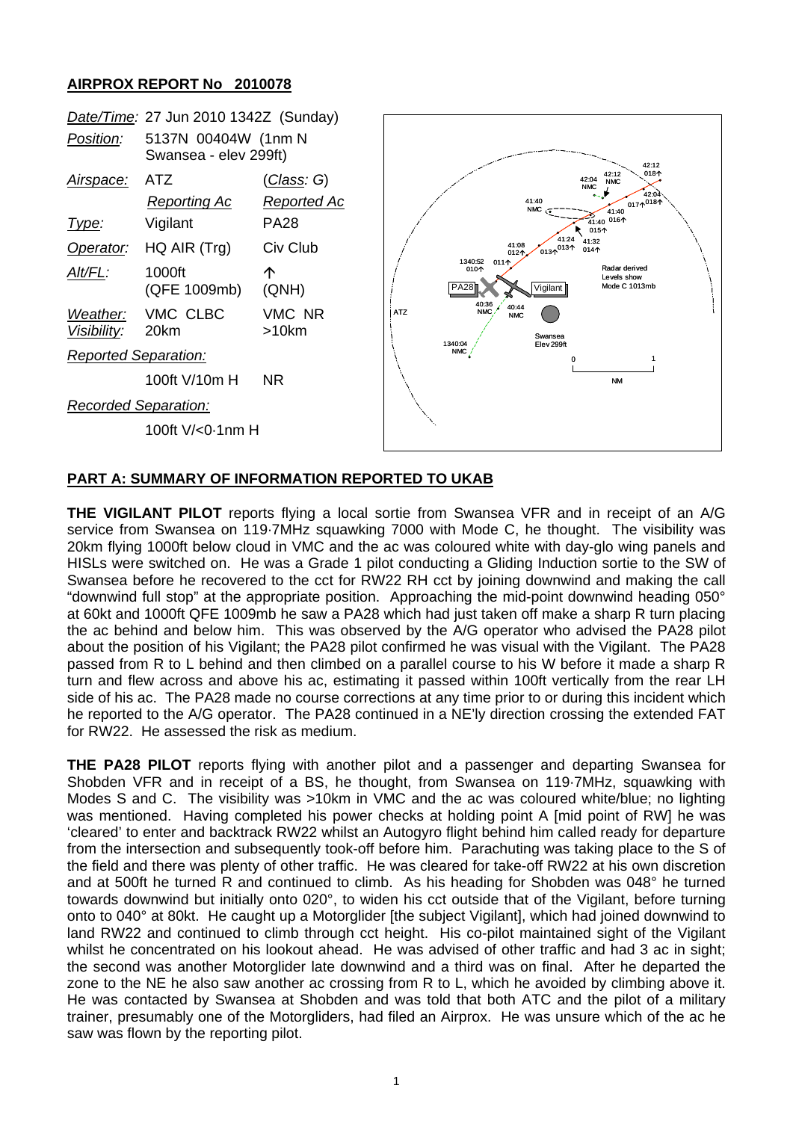## **AIRPROX REPORT No 2010078**



## **PART A: SUMMARY OF INFORMATION REPORTED TO UKAB**

**THE VIGILANT PILOT** reports flying a local sortie from Swansea VFR and in receipt of an A/G service from Swansea on 119·7MHz squawking 7000 with Mode C, he thought. The visibility was 20km flying 1000ft below cloud in VMC and the ac was coloured white with day-glo wing panels and HISLs were switched on. He was a Grade 1 pilot conducting a Gliding Induction sortie to the SW of Swansea before he recovered to the cct for RW22 RH cct by joining downwind and making the call "downwind full stop" at the appropriate position. Approaching the mid-point downwind heading 050° at 60kt and 1000ft QFE 1009mb he saw a PA28 which had just taken off make a sharp R turn placing the ac behind and below him. This was observed by the A/G operator who advised the PA28 pilot about the position of his Vigilant; the PA28 pilot confirmed he was visual with the Vigilant. The PA28 passed from R to L behind and then climbed on a parallel course to his W before it made a sharp R turn and flew across and above his ac, estimating it passed within 100ft vertically from the rear LH side of his ac. The PA28 made no course corrections at any time prior to or during this incident which he reported to the A/G operator. The PA28 continued in a NE'ly direction crossing the extended FAT for RW22. He assessed the risk as medium.

**THE PA28 PILOT** reports flying with another pilot and a passenger and departing Swansea for Shobden VFR and in receipt of a BS, he thought, from Swansea on 119·7MHz, squawking with Modes S and C. The visibility was >10km in VMC and the ac was coloured white/blue; no lighting was mentioned. Having completed his power checks at holding point A [mid point of RW] he was 'cleared' to enter and backtrack RW22 whilst an Autogyro flight behind him called ready for departure from the intersection and subsequently took-off before him. Parachuting was taking place to the S of the field and there was plenty of other traffic. He was cleared for take-off RW22 at his own discretion and at 500ft he turned R and continued to climb. As his heading for Shobden was 048° he turned towards downwind but initially onto 020°, to widen his cct outside that of the Vigilant, before turning onto to 040° at 80kt. He caught up a Motorglider [the subject Vigilant], which had joined downwind to land RW22 and continued to climb through cct height. His co-pilot maintained sight of the Vigilant whilst he concentrated on his lookout ahead. He was advised of other traffic and had 3 ac in sight; the second was another Motorglider late downwind and a third was on final. After he departed the zone to the NE he also saw another ac crossing from R to L, which he avoided by climbing above it. He was contacted by Swansea at Shobden and was told that both ATC and the pilot of a military trainer, presumably one of the Motorgliders, had filed an Airprox. He was unsure which of the ac he saw was flown by the reporting pilot.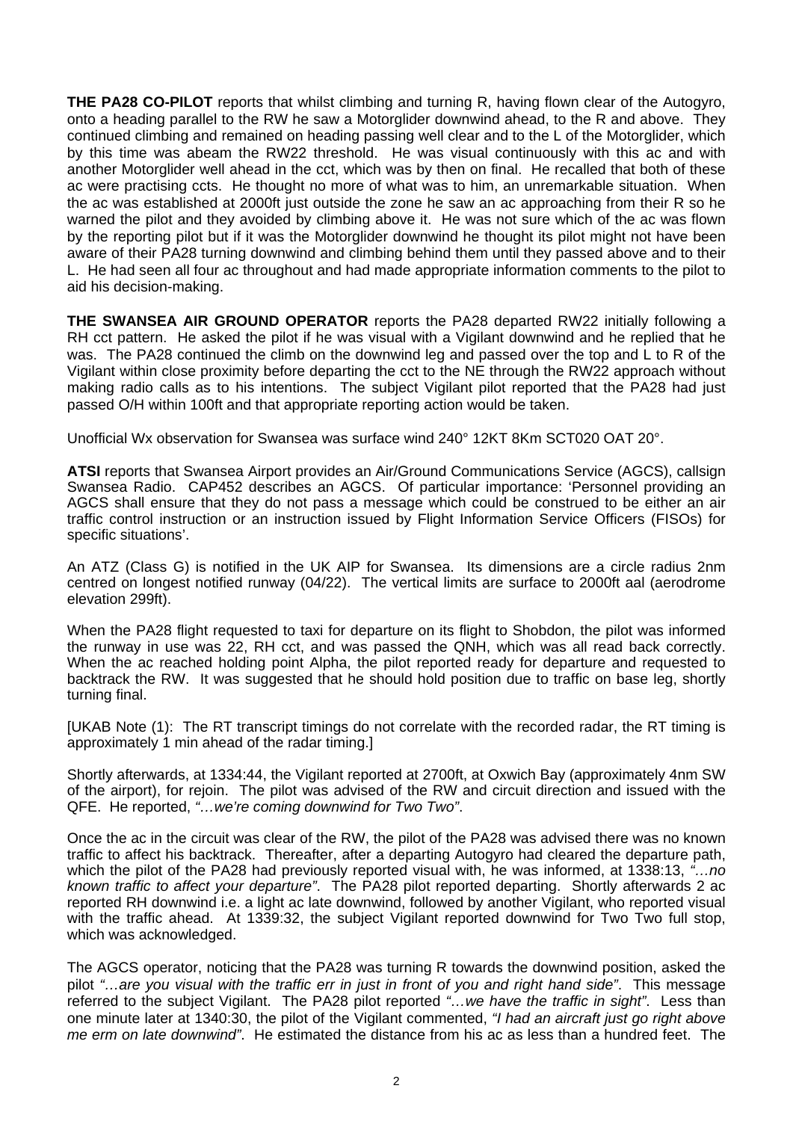**THE PA28 CO-PILOT** reports that whilst climbing and turning R, having flown clear of the Autogyro, onto a heading parallel to the RW he saw a Motorglider downwind ahead, to the R and above. They continued climbing and remained on heading passing well clear and to the L of the Motorglider, which by this time was abeam the RW22 threshold. He was visual continuously with this ac and with another Motorglider well ahead in the cct, which was by then on final. He recalled that both of these ac were practising ccts. He thought no more of what was to him, an unremarkable situation. When the ac was established at 2000ft just outside the zone he saw an ac approaching from their R so he warned the pilot and they avoided by climbing above it. He was not sure which of the ac was flown by the reporting pilot but if it was the Motorglider downwind he thought its pilot might not have been aware of their PA28 turning downwind and climbing behind them until they passed above and to their L. He had seen all four ac throughout and had made appropriate information comments to the pilot to aid his decision-making.

**THE SWANSEA AIR GROUND OPERATOR** reports the PA28 departed RW22 initially following a RH cct pattern. He asked the pilot if he was visual with a Vigilant downwind and he replied that he was. The PA28 continued the climb on the downwind leg and passed over the top and L to R of the Vigilant within close proximity before departing the cct to the NE through the RW22 approach without making radio calls as to his intentions. The subject Vigilant pilot reported that the PA28 had just passed O/H within 100ft and that appropriate reporting action would be taken.

Unofficial Wx observation for Swansea was surface wind 240° 12KT 8Km SCT020 OAT 20°.

**ATSI** reports that Swansea Airport provides an Air/Ground Communications Service (AGCS), callsign Swansea Radio. CAP452 describes an AGCS. Of particular importance: 'Personnel providing an AGCS shall ensure that they do not pass a message which could be construed to be either an air traffic control instruction or an instruction issued by Flight Information Service Officers (FISOs) for specific situations'.

An ATZ (Class G) is notified in the UK AIP for Swansea. Its dimensions are a circle radius 2nm centred on longest notified runway (04/22). The vertical limits are surface to 2000ft aal (aerodrome elevation 299ft).

When the PA28 flight requested to taxi for departure on its flight to Shobdon, the pilot was informed the runway in use was 22, RH cct, and was passed the QNH, which was all read back correctly. When the ac reached holding point Alpha, the pilot reported ready for departure and requested to backtrack the RW. It was suggested that he should hold position due to traffic on base leg, shortly turning final.

[UKAB Note (1): The RT transcript timings do not correlate with the recorded radar, the RT timing is approximately 1 min ahead of the radar timing.]

Shortly afterwards, at 1334:44, the Vigilant reported at 2700ft, at Oxwich Bay (approximately 4nm SW of the airport), for rejoin. The pilot was advised of the RW and circuit direction and issued with the QFE. He reported, *"…we're coming downwind for Two Two"*.

Once the ac in the circuit was clear of the RW, the pilot of the PA28 was advised there was no known traffic to affect his backtrack. Thereafter, after a departing Autogyro had cleared the departure path, which the pilot of the PA28 had previously reported visual with, he was informed, at 1338:13, *"…no known traffic to affect your departure"*. The PA28 pilot reported departing. Shortly afterwards 2 ac reported RH downwind i.e. a light ac late downwind, followed by another Vigilant, who reported visual with the traffic ahead. At 1339:32, the subject Vigilant reported downwind for Two Two full stop, which was acknowledged.

The AGCS operator, noticing that the PA28 was turning R towards the downwind position, asked the pilot *"…are you visual with the traffic err in just in front of you and right hand side"*. This message referred to the subject Vigilant. The PA28 pilot reported *"…we have the traffic in sight"*. Less than one minute later at 1340:30, the pilot of the Vigilant commented, *"I had an aircraft just go right above me erm on late downwind"*. He estimated the distance from his ac as less than a hundred feet. The